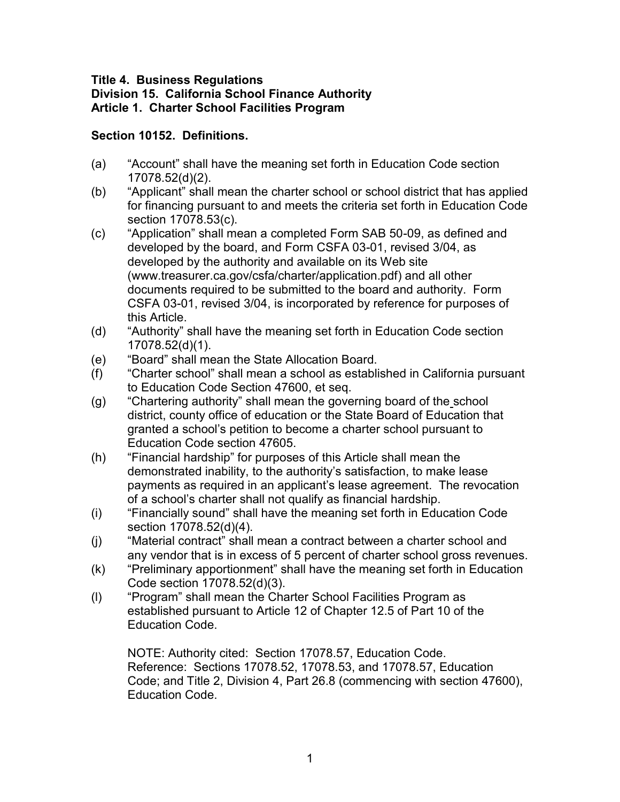#### **Title 4. Business Regulations Division 15. California School Finance Authority Article 1. Charter School Facilities Program**

### **Section 10152. Definitions.**

- (a) "Account" shall have the meaning set forth in Education Code section 17078.52(d)(2).
- (b) "Applicant" shall mean the charter school or school district that has applied for financing pursuant to and meets the criteria set forth in Education Code section 17078.53(c).
- (c) "Application" shall mean a completed Form SAB 50-09, as defined and developed by the board, and Form CSFA 03-01, revised 3/04, as developed by the authority and available on its Web site (www.treasurer.ca.gov/csfa/charter/application.pdf) and all other documents required to be submitted to the board and authority. Form CSFA 03-01, revised 3/04, is incorporated by reference for purposes of this Article.
- (d) "Authority" shall have the meaning set forth in Education Code section 17078.52(d)(1).
- (e) "Board" shall mean the State Allocation Board.
- (f) "Charter school" shall mean a school as established in California pursuant to Education Code Section 47600, et seq.
- (g) "Chartering authority" shall mean the governing board of the school district, county office of education or the State Board of Education that granted a school's petition to become a charter school pursuant to Education Code section 47605.
- (h) "Financial hardship" for purposes of this Article shall mean the demonstrated inability, to the authority's satisfaction, to make lease payments as required in an applicant's lease agreement. The revocation of a school's charter shall not qualify as financial hardship.
- (i) "Financially sound" shall have the meaning set forth in Education Code section 17078.52(d)(4).
- (j) "Material contract" shall mean a contract between a charter school and any vendor that is in excess of 5 percent of charter school gross revenues.
- (k) "Preliminary apportionment" shall have the meaning set forth in Education Code section 17078.52(d)(3).
- (l) "Program" shall mean the Charter School Facilities Program as established pursuant to Article 12 of Chapter 12.5 of Part 10 of the Education Code.

NOTE: Authority cited: Section 17078.57, Education Code. Reference: Sections 17078.52, 17078.53, and 17078.57, Education Code; and Title 2, Division 4, Part 26.8 (commencing with section 47600), Education Code.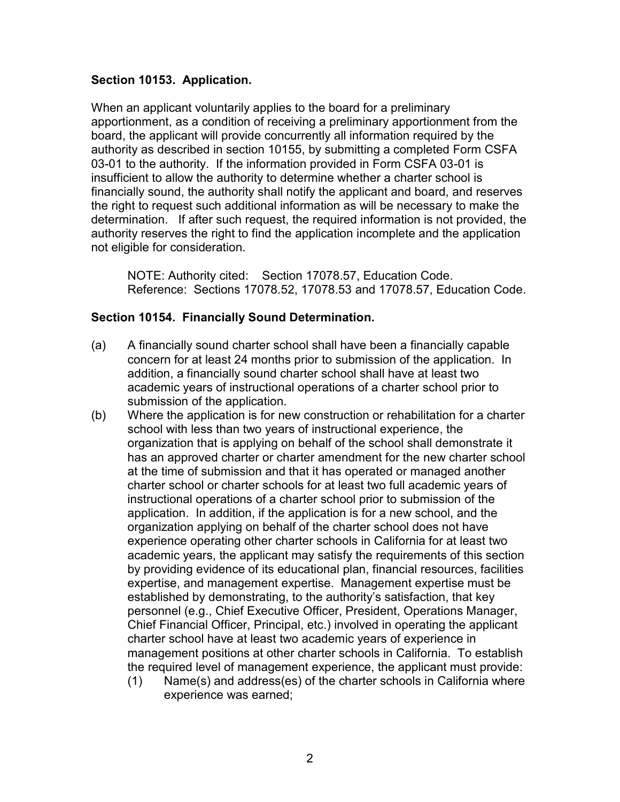#### **Section 10153. Application.**

When an applicant voluntarily applies to the board for a preliminary apportionment, as a condition of receiving a preliminary apportionment from the board, the applicant will provide concurrently all information required by the authority as described in section 10155, by submitting a completed Form CSFA 03-01 to the authority. If the information provided in Form CSFA 03-01 is insufficient to allow the authority to determine whether a charter school is financially sound, the authority shall notify the applicant and board, and reserves the right to request such additional information as will be necessary to make the determination. If after such request, the required information is not provided, the authority reserves the right to find the application incomplete and the application not eligible for consideration.

 NOTE: Authority cited: Section 17078.57, Education Code. Reference: Sections 17078.52, 17078.53 and 17078.57, Education Code.

#### **Section 10154. Financially Sound Determination.**

- (a) A financially sound charter school shall have been a financially capable concern for at least 24 months prior to submission of the application. In addition, a financially sound charter school shall have at least two academic years of instructional operations of a charter school prior to submission of the application.
- (b) Where the application is for new construction or rehabilitation for a charter school with less than two years of instructional experience, the organization that is applying on behalf of the school shall demonstrate it has an approved charter or charter amendment for the new charter school at the time of submission and that it has operated or managed another charter school or charter schools for at least two full academic years of instructional operations of a charter school prior to submission of the application. In addition, if the application is for a new school, and the organization applying on behalf of the charter school does not have experience operating other charter schools in California for at least two academic years, the applicant may satisfy the requirements of this section by providing evidence of its educational plan, financial resources, facilities expertise, and management expertise. Management expertise must be established by demonstrating, to the authority's satisfaction, that key personnel (e.g., Chief Executive Officer, President, Operations Manager, Chief Financial Officer, Principal, etc.) involved in operating the applicant charter school have at least two academic years of experience in management positions at other charter schools in California. To establish the required level of management experience, the applicant must provide: (1) Name(s) and address(es) of the charter schools in California where
	- experience was earned;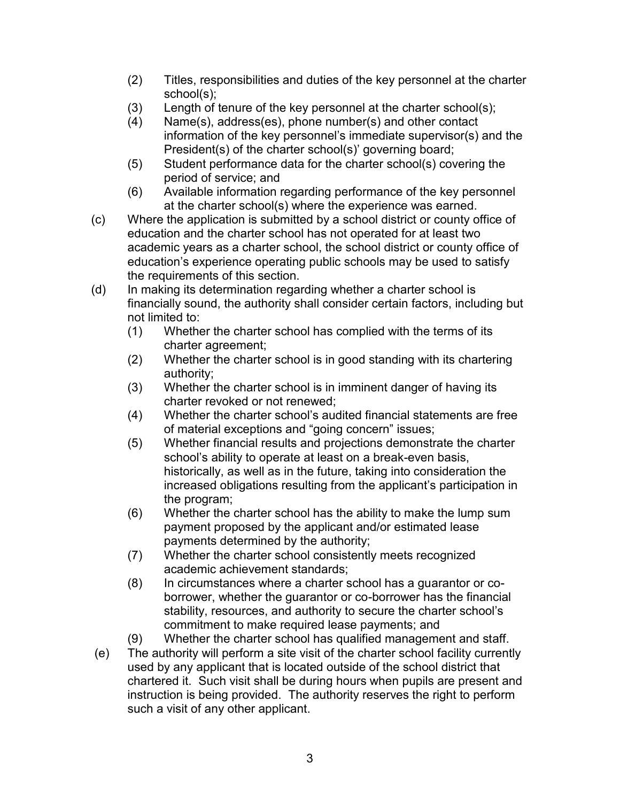- (2) Titles, responsibilities and duties of the key personnel at the charter school(s);
- (3) Length of tenure of the key personnel at the charter school(s);
- (4) Name(s), address(es), phone number(s) and other contact information of the key personnel's immediate supervisor(s) and the President(s) of the charter school(s)' governing board;
- (5) Student performance data for the charter school(s) covering the period of service; and
- (6) Available information regarding performance of the key personnel at the charter school(s) where the experience was earned.
- (c) Where the application is submitted by a school district or county office of education and the charter school has not operated for at least two academic years as a charter school, the school district or county office of education's experience operating public schools may be used to satisfy the requirements of this section.
- (d) In making its determination regarding whether a charter school is financially sound, the authority shall consider certain factors, including but not limited to:
	- (1) Whether the charter school has complied with the terms of its charter agreement;
	- (2) Whether the charter school is in good standing with its chartering authority;
	- (3) Whether the charter school is in imminent danger of having its charter revoked or not renewed;
	- (4) Whether the charter school's audited financial statements are free of material exceptions and "going concern" issues;
	- (5) Whether financial results and projections demonstrate the charter school's ability to operate at least on a break-even basis, historically, as well as in the future, taking into consideration the increased obligations resulting from the applicant's participation in the program;
	- (6) Whether the charter school has the ability to make the lump sum payment proposed by the applicant and/or estimated lease payments determined by the authority;
	- (7) Whether the charter school consistently meets recognized academic achievement standards;
	- (8) In circumstances where a charter school has a guarantor or coborrower, whether the guarantor or co-borrower has the financial stability, resources, and authority to secure the charter school's commitment to make required lease payments; and
	- (9) Whether the charter school has qualified management and staff.
- (e) The authority will perform a site visit of the charter school facility currently used by any applicant that is located outside of the school district that chartered it. Such visit shall be during hours when pupils are present and instruction is being provided. The authority reserves the right to perform such a visit of any other applicant.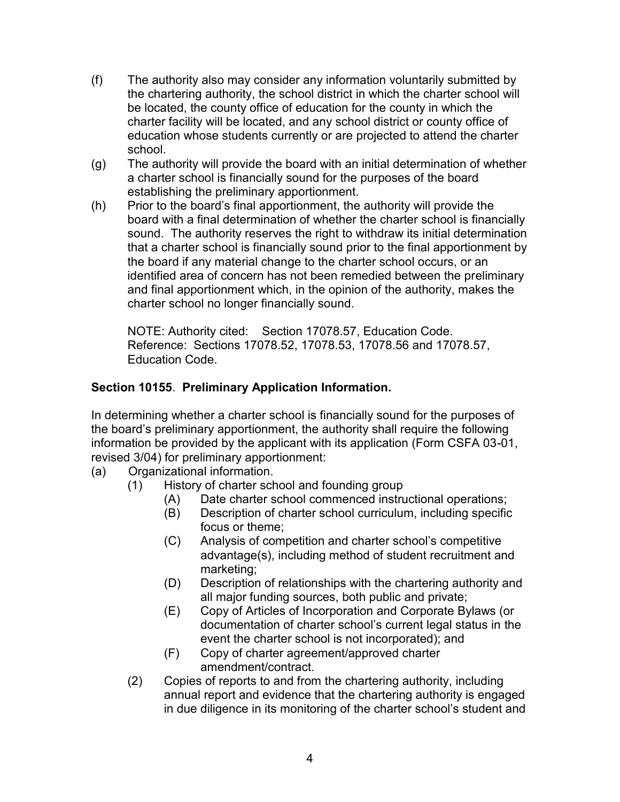- (f) The authority also may consider any information voluntarily submitted by the chartering authority, the school district in which the charter school will be located, the county office of education for the county in which the charter facility will be located, and any school district or county office of education whose students currently or are projected to attend the charter school.
- (g) The authority will provide the board with an initial determination of whether a charter school is financially sound for the purposes of the board establishing the preliminary apportionment.
- (h) Prior to the board's final apportionment, the authority will provide the board with a final determination of whether the charter school is financially sound. The authority reserves the right to withdraw its initial determination that a charter school is financially sound prior to the final apportionment by the board if any material change to the charter school occurs, or an identified area of concern has not been remedied between the preliminary and final apportionment which, in the opinion of the authority, makes the charter school no longer financially sound.

NOTE: Authority cited: Section 17078.57, Education Code. Reference: Sections 17078.52, 17078.53, 17078.56 and 17078.57, Education Code.

# **Section 10155**. **Preliminary Application Information.**

In determining whether a charter school is financially sound for the purposes of the board's preliminary apportionment, the authority shall require the following information be provided by the applicant with its application (Form CSFA 03-01, revised 3/04) for preliminary apportionment:

- (a) Organizational information.
	- (1) History of charter school and founding group
		- (A) Date charter school commenced instructional operations;
		- (B) Description of charter school curriculum, including specific focus or theme;
		- (C) Analysis of competition and charter school's competitive advantage(s), including method of student recruitment and marketing;
		- (D) Description of relationships with the chartering authority and all major funding sources, both public and private;
		- (E) Copy of Articles of Incorporation and Corporate Bylaws (or documentation of charter school's current legal status in the event the charter school is not incorporated); and
		- (F) Copy of charter agreement/approved charter amendment/contract.
	- (2) Copies of reports to and from the chartering authority, including annual report and evidence that the chartering authority is engaged in due diligence in its monitoring of the charter school's student and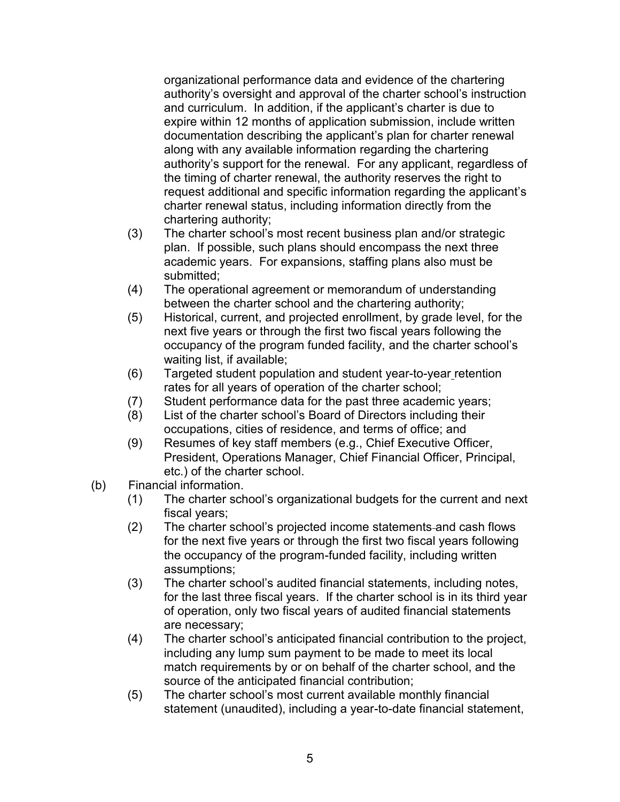organizational performance data and evidence of the chartering authority's oversight and approval of the charter school's instruction and curriculum. In addition, if the applicant's charter is due to expire within 12 months of application submission, include written documentation describing the applicant's plan for charter renewal along with any available information regarding the chartering authority's support for the renewal. For any applicant, regardless of the timing of charter renewal, the authority reserves the right to request additional and specific information regarding the applicant's charter renewal status, including information directly from the chartering authority;

- (3) The charter school's most recent business plan and/or strategic plan. If possible, such plans should encompass the next three academic years. For expansions, staffing plans also must be submitted;
- (4) The operational agreement or memorandum of understanding between the charter school and the chartering authority;
- (5) Historical, current, and projected enrollment, by grade level, for the next five years or through the first two fiscal years following the occupancy of the program funded facility, and the charter school's waiting list, if available;
- (6) Targeted student population and student year-to-year retention rates for all years of operation of the charter school;
- (7) Student performance data for the past three academic years;
- (8) List of the charter school's Board of Directors including their occupations, cities of residence, and terms of office; and
- (9) Resumes of key staff members (e.g., Chief Executive Officer, President, Operations Manager, Chief Financial Officer, Principal, etc.) of the charter school.
- (b) Financial information.
	- (1) The charter school's organizational budgets for the current and next fiscal years;
	- (2) The charter school's projected income statements and cash flows for the next five years or through the first two fiscal years following the occupancy of the program-funded facility, including written assumptions;
	- (3) The charter school's audited financial statements, including notes, for the last three fiscal years. If the charter school is in its third year of operation, only two fiscal years of audited financial statements are necessary;
	- (4) The charter school's anticipated financial contribution to the project, including any lump sum payment to be made to meet its local match requirements by or on behalf of the charter school, and the source of the anticipated financial contribution;
	- (5) The charter school's most current available monthly financial statement (unaudited), including a year-to-date financial statement,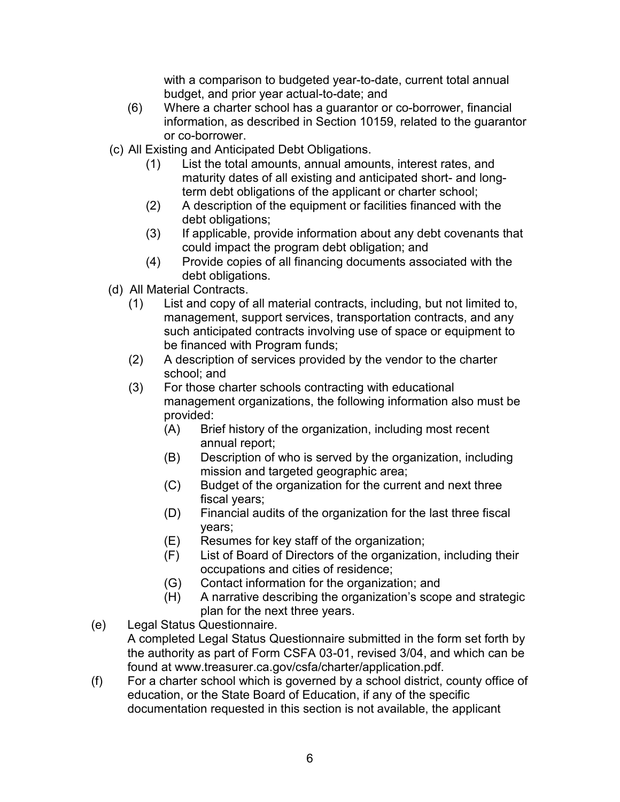with a comparison to budgeted year-to-date, current total annual budget, and prior year actual-to-date; and

- (6) Where a charter school has a guarantor or co-borrower, financial information, as described in Section 10159, related to the guarantor or co-borrower.
- (c) All Existing and Anticipated Debt Obligations.
	- (1) List the total amounts, annual amounts, interest rates, and maturity dates of all existing and anticipated short- and longterm debt obligations of the applicant or charter school;
	- (2) A description of the equipment or facilities financed with the debt obligations;
	- (3) If applicable, provide information about any debt covenants that could impact the program debt obligation; and
	- (4) Provide copies of all financing documents associated with the debt obligations.
- (d) All Material Contracts.
	- (1) List and copy of all material contracts, including, but not limited to, management, support services, transportation contracts, and any such anticipated contracts involving use of space or equipment to be financed with Program funds;
	- (2) A description of services provided by the vendor to the charter school; and
	- (3) For those charter schools contracting with educational management organizations, the following information also must be provided:
		- (A) Brief history of the organization, including most recent annual report;
		- (B) Description of who is served by the organization, including mission and targeted geographic area;
		- (C) Budget of the organization for the current and next three fiscal years;
		- (D) Financial audits of the organization for the last three fiscal years;
		- (E) Resumes for key staff of the organization;
		- (F) List of Board of Directors of the organization, including their occupations and cities of residence;
		- (G) Contact information for the organization; and
		- (H) A narrative describing the organization's scope and strategic plan for the next three years.
- (e) Legal Status Questionnaire. A completed Legal Status Questionnaire submitted in the form set forth by the authority as part of Form CSFA 03-01, revised 3/04, and which can be found at www.treasurer.ca.gov/csfa/charter/application.pdf.
- (f) For a charter school which is governed by a school district, county office of education, or the State Board of Education, if any of the specific documentation requested in this section is not available, the applicant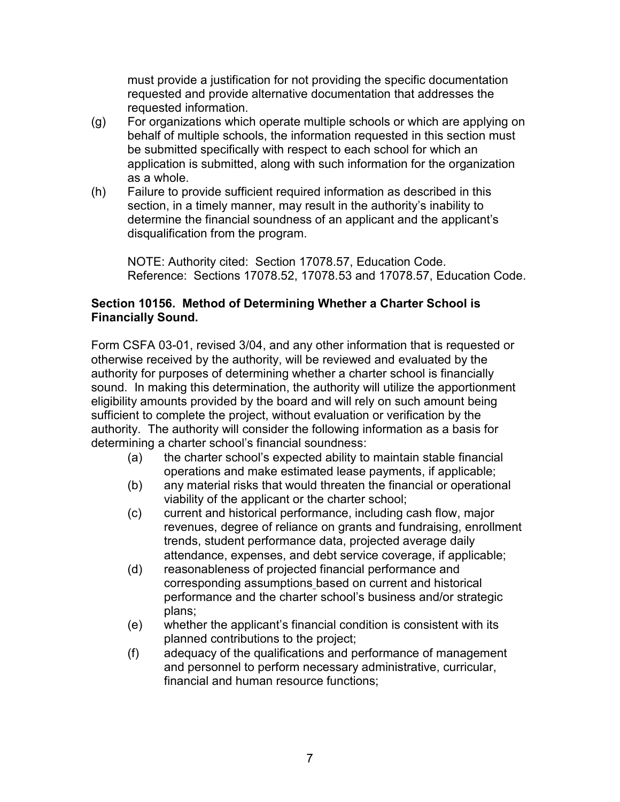must provide a justification for not providing the specific documentation requested and provide alternative documentation that addresses the requested information.

- (g) For organizations which operate multiple schools or which are applying on behalf of multiple schools, the information requested in this section must be submitted specifically with respect to each school for which an application is submitted, along with such information for the organization as a whole.
- (h) Failure to provide sufficient required information as described in this section, in a timely manner, may result in the authority's inability to determine the financial soundness of an applicant and the applicant's disqualification from the program.

NOTE: Authority cited: Section 17078.57, Education Code. Reference: Sections 17078.52, 17078.53 and 17078.57, Education Code.

#### **Section 10156. Method of Determining Whether a Charter School is Financially Sound.**

Form CSFA 03-01, revised 3/04, and any other information that is requested or otherwise received by the authority, will be reviewed and evaluated by the authority for purposes of determining whether a charter school is financially sound. In making this determination, the authority will utilize the apportionment eligibility amounts provided by the board and will rely on such amount being sufficient to complete the project, without evaluation or verification by the authority. The authority will consider the following information as a basis for determining a charter school's financial soundness:

- (a) the charter school's expected ability to maintain stable financial operations and make estimated lease payments, if applicable;
- (b) any material risks that would threaten the financial or operational viability of the applicant or the charter school;
- (c) current and historical performance, including cash flow, major revenues, degree of reliance on grants and fundraising, enrollment trends, student performance data, projected average daily attendance, expenses, and debt service coverage, if applicable;
- (d) reasonableness of projected financial performance and corresponding assumptions based on current and historical performance and the charter school's business and/or strategic plans;
- (e) whether the applicant's financial condition is consistent with its planned contributions to the project;
- (f) adequacy of the qualifications and performance of management and personnel to perform necessary administrative, curricular, financial and human resource functions;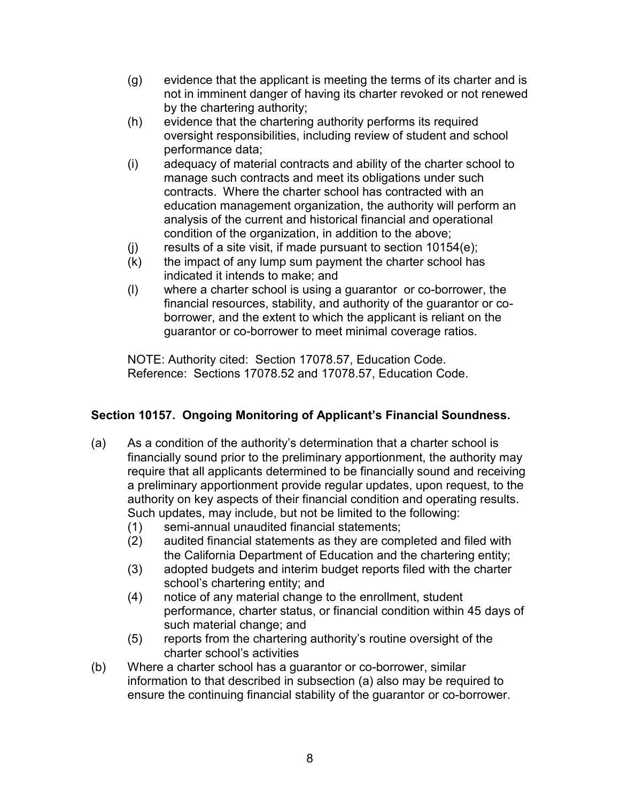- (g) evidence that the applicant is meeting the terms of its charter and is not in imminent danger of having its charter revoked or not renewed by the chartering authority;
- (h) evidence that the chartering authority performs its required oversight responsibilities, including review of student and school performance data;
- (i) adequacy of material contracts and ability of the charter school to manage such contracts and meet its obligations under such contracts. Where the charter school has contracted with an education management organization, the authority will perform an analysis of the current and historical financial and operational condition of the organization, in addition to the above;
- (j) results of a site visit, if made pursuant to section 10154(e);
- (k) the impact of any lump sum payment the charter school has indicated it intends to make; and
- (l) where a charter school is using a guarantor or co-borrower, the financial resources, stability, and authority of the guarantor or coborrower, and the extent to which the applicant is reliant on the guarantor or co-borrower to meet minimal coverage ratios.

NOTE: Authority cited: Section 17078.57, Education Code. Reference: Sections 17078.52 and 17078.57, Education Code.

# **Section 10157. Ongoing Monitoring of Applicant's Financial Soundness.**

- (a) As a condition of the authority's determination that a charter school is financially sound prior to the preliminary apportionment, the authority may require that all applicants determined to be financially sound and receiving a preliminary apportionment provide regular updates, upon request, to the authority on key aspects of their financial condition and operating results. Such updates, may include, but not be limited to the following:
	- (1) semi-annual unaudited financial statements;
	- (2) audited financial statements as they are completed and filed with the California Department of Education and the chartering entity;
	- (3) adopted budgets and interim budget reports filed with the charter school's chartering entity; and
	- (4) notice of any material change to the enrollment, student performance, charter status, or financial condition within 45 days of such material change; and
	- (5) reports from the chartering authority's routine oversight of the charter school's activities
- (b) Where a charter school has a guarantor or co-borrower, similar information to that described in subsection (a) also may be required to ensure the continuing financial stability of the guarantor or co-borrower.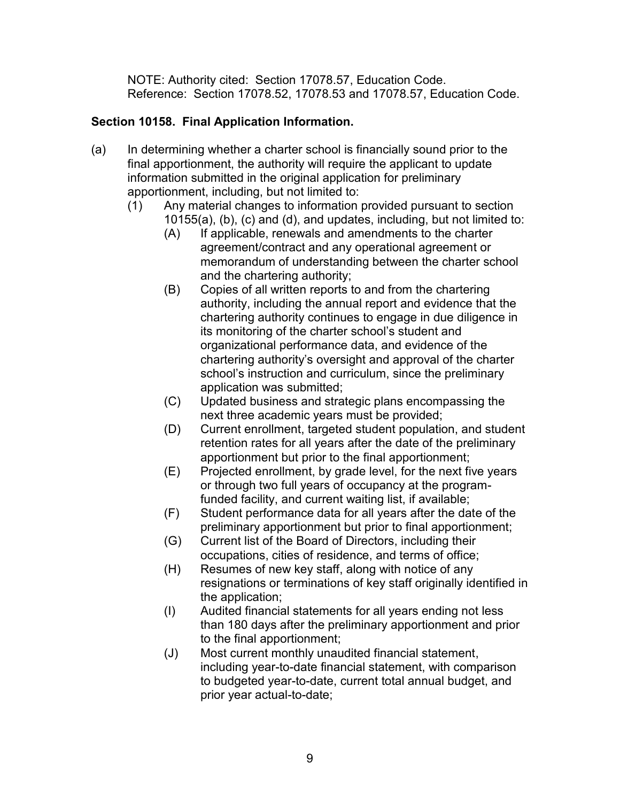NOTE: Authority cited: Section 17078.57, Education Code. Reference: Section 17078.52, 17078.53 and 17078.57, Education Code.

# **Section 10158. Final Application Information.**

- (a) In determining whether a charter school is financially sound prior to the final apportionment, the authority will require the applicant to update information submitted in the original application for preliminary apportionment, including, but not limited to:
	- (1) Any material changes to information provided pursuant to section 10155(a), (b), (c) and (d), and updates, including, but not limited to:
		- (A) If applicable, renewals and amendments to the charter agreement/contract and any operational agreement or memorandum of understanding between the charter school and the chartering authority;
		- (B) Copies of all written reports to and from the chartering authority, including the annual report and evidence that the chartering authority continues to engage in due diligence in its monitoring of the charter school's student and organizational performance data, and evidence of the chartering authority's oversight and approval of the charter school's instruction and curriculum, since the preliminary application was submitted;
		- (C) Updated business and strategic plans encompassing the next three academic years must be provided;
		- (D) Current enrollment, targeted student population, and student retention rates for all years after the date of the preliminary apportionment but prior to the final apportionment;
		- (E) Projected enrollment, by grade level, for the next five years or through two full years of occupancy at the programfunded facility, and current waiting list, if available;
		- (F) Student performance data for all years after the date of the preliminary apportionment but prior to final apportionment;
		- (G) Current list of the Board of Directors, including their occupations, cities of residence, and terms of office;
		- (H) Resumes of new key staff, along with notice of any resignations or terminations of key staff originally identified in the application;
		- (I) Audited financial statements for all years ending not less than 180 days after the preliminary apportionment and prior to the final apportionment;
		- (J) Most current monthly unaudited financial statement, including year-to-date financial statement, with comparison to budgeted year-to-date, current total annual budget, and prior year actual-to-date;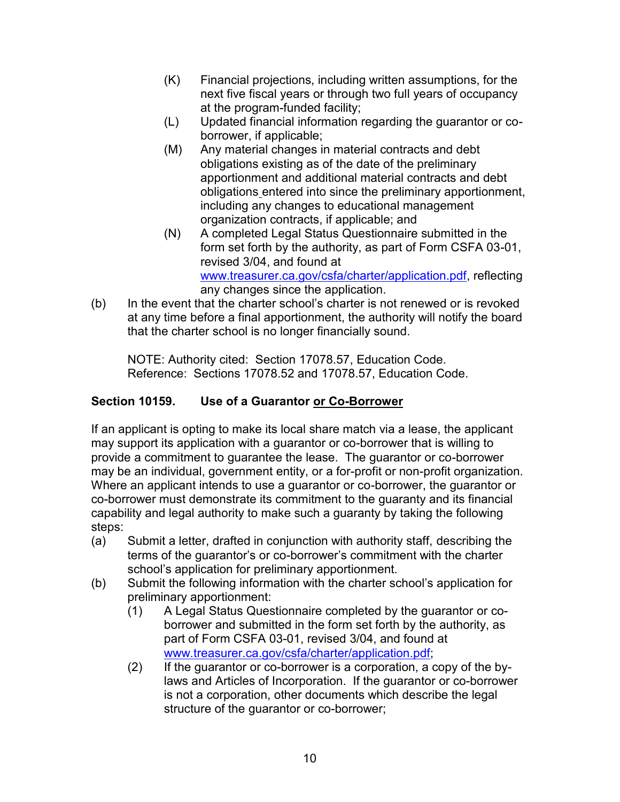- (K) Financial projections, including written assumptions, for the next five fiscal years or through two full years of occupancy at the program-funded facility;
- (L) Updated financial information regarding the guarantor or coborrower, if applicable;
- (M) Any material changes in material contracts and debt obligations existing as of the date of the preliminary apportionment and additional material contracts and debt obligations entered into since the preliminary apportionment, including any changes to educational management organization contracts, if applicable; and
- (N) A completed Legal Status Questionnaire submitted in the form set forth by the authority, as part of Form CSFA 03-01, revised 3/04, and found at [www.treasurer.ca.gov/csfa/charter/application.pdf,](http://www.treasurer.ca.gov/csfa/charter/application.pdf) reflecting any changes since the application.
- (b) In the event that the charter school's charter is not renewed or is revoked at any time before a final apportionment, the authority will notify the board that the charter school is no longer financially sound.

NOTE: Authority cited: Section 17078.57, Education Code. Reference: Sections 17078.52 and 17078.57, Education Code.

# **Section 10159. Use of a Guarantor or Co-Borrower**

If an applicant is opting to make its local share match via a lease, the applicant may support its application with a guarantor or co-borrower that is willing to provide a commitment to guarantee the lease. The guarantor or co-borrower may be an individual, government entity, or a for-profit or non-profit organization. Where an applicant intends to use a guarantor or co-borrower, the guarantor or co-borrower must demonstrate its commitment to the guaranty and its financial capability and legal authority to make such a guaranty by taking the following steps:

- (a) Submit a letter, drafted in conjunction with authority staff, describing the terms of the guarantor's or co-borrower's commitment with the charter school's application for preliminary apportionment.
- (b) Submit the following information with the charter school's application for preliminary apportionment:
	- (1) A Legal Status Questionnaire completed by the guarantor or coborrower and submitted in the form set forth by the authority, as part of Form CSFA 03-01, revised 3/04, and found at [www.treasurer.ca.gov/csfa/charter/application.pdf;](http://www.treasurer.ca.gov/csfa/charter/application.pdf)
	- (2) If the guarantor or co-borrower is a corporation, a copy of the bylaws and Articles of Incorporation. If the guarantor or co-borrower is not a corporation, other documents which describe the legal structure of the guarantor or co-borrower;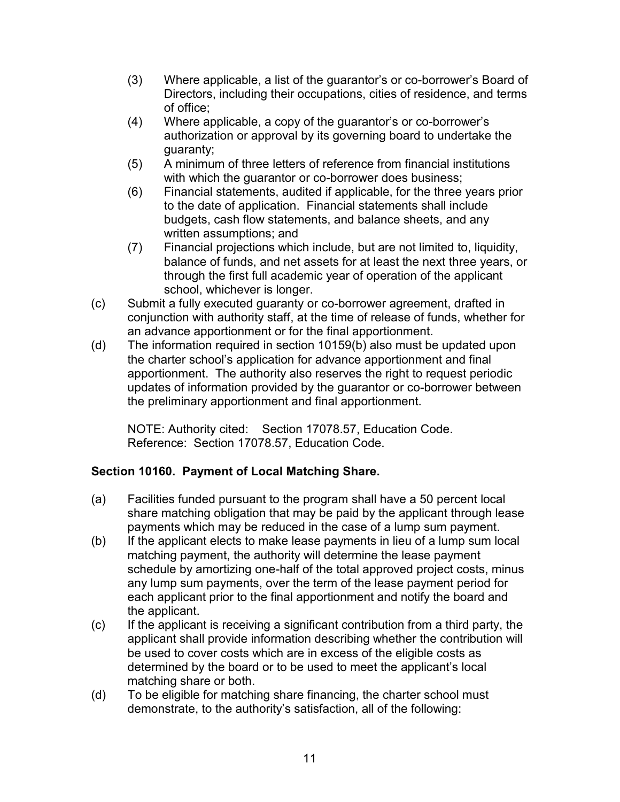- (3) Where applicable, a list of the guarantor's or co-borrower's Board of Directors, including their occupations, cities of residence, and terms of office;
- (4) Where applicable, a copy of the guarantor's or co-borrower's authorization or approval by its governing board to undertake the guaranty;
- (5) A minimum of three letters of reference from financial institutions with which the guarantor or co-borrower does business;
- (6) Financial statements, audited if applicable, for the three years prior to the date of application. Financial statements shall include budgets, cash flow statements, and balance sheets, and any written assumptions; and
- (7) Financial projections which include, but are not limited to, liquidity, balance of funds, and net assets for at least the next three years, or through the first full academic year of operation of the applicant school, whichever is longer.
- (c) Submit a fully executed guaranty or co-borrower agreement, drafted in conjunction with authority staff, at the time of release of funds, whether for an advance apportionment or for the final apportionment.
- (d) The information required in section 10159(b) also must be updated upon the charter school's application for advance apportionment and final apportionment. The authority also reserves the right to request periodic updates of information provided by the guarantor or co-borrower between the preliminary apportionment and final apportionment.

NOTE: Authority cited: Section 17078.57, Education Code. Reference: Section 17078.57, Education Code.

# **Section 10160. Payment of Local Matching Share.**

- (a) Facilities funded pursuant to the program shall have a 50 percent local share matching obligation that may be paid by the applicant through lease payments which may be reduced in the case of a lump sum payment.
- (b) If the applicant elects to make lease payments in lieu of a lump sum local matching payment, the authority will determine the lease payment schedule by amortizing one-half of the total approved project costs, minus any lump sum payments, over the term of the lease payment period for each applicant prior to the final apportionment and notify the board and the applicant.
- (c) If the applicant is receiving a significant contribution from a third party, the applicant shall provide information describing whether the contribution will be used to cover costs which are in excess of the eligible costs as determined by the board or to be used to meet the applicant's local matching share or both.
- (d) To be eligible for matching share financing, the charter school must demonstrate, to the authority's satisfaction, all of the following: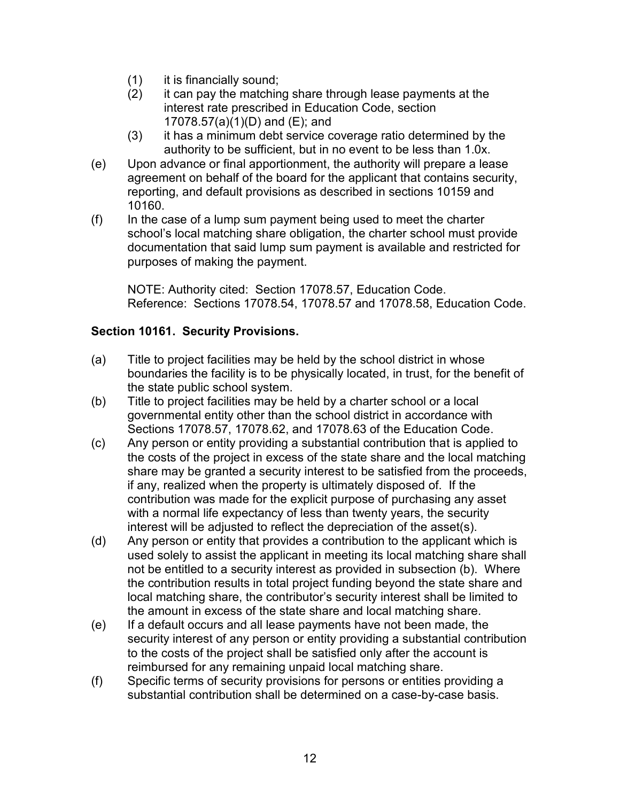- (1) it is financially sound;
- (2) it can pay the matching share through lease payments at the interest rate prescribed in Education Code, section 17078.57(a)(1)(D) and (E); and
- (3) it has a minimum debt service coverage ratio determined by the authority to be sufficient, but in no event to be less than 1.0x.
- (e) Upon advance or final apportionment, the authority will prepare a lease agreement on behalf of the board for the applicant that contains security, reporting, and default provisions as described in sections 10159 and 10160.
- (f) In the case of a lump sum payment being used to meet the charter school's local matching share obligation, the charter school must provide documentation that said lump sum payment is available and restricted for purposes of making the payment.

NOTE: Authority cited: Section 17078.57, Education Code. Reference: Sections 17078.54, 17078.57 and 17078.58, Education Code.

# **Section 10161. Security Provisions.**

- (a) Title to project facilities may be held by the school district in whose boundaries the facility is to be physically located, in trust, for the benefit of the state public school system.
- (b) Title to project facilities may be held by a charter school or a local governmental entity other than the school district in accordance with Sections 17078.57, 17078.62, and 17078.63 of the Education Code.
- (c) Any person or entity providing a substantial contribution that is applied to the costs of the project in excess of the state share and the local matching share may be granted a security interest to be satisfied from the proceeds, if any, realized when the property is ultimately disposed of. If the contribution was made for the explicit purpose of purchasing any asset with a normal life expectancy of less than twenty years, the security interest will be adjusted to reflect the depreciation of the asset(s).
- (d) Any person or entity that provides a contribution to the applicant which is used solely to assist the applicant in meeting its local matching share shall not be entitled to a security interest as provided in subsection (b). Where the contribution results in total project funding beyond the state share and local matching share, the contributor's security interest shall be limited to the amount in excess of the state share and local matching share.
- (e) If a default occurs and all lease payments have not been made, the security interest of any person or entity providing a substantial contribution to the costs of the project shall be satisfied only after the account is reimbursed for any remaining unpaid local matching share.
- (f) Specific terms of security provisions for persons or entities providing a substantial contribution shall be determined on a case-by-case basis.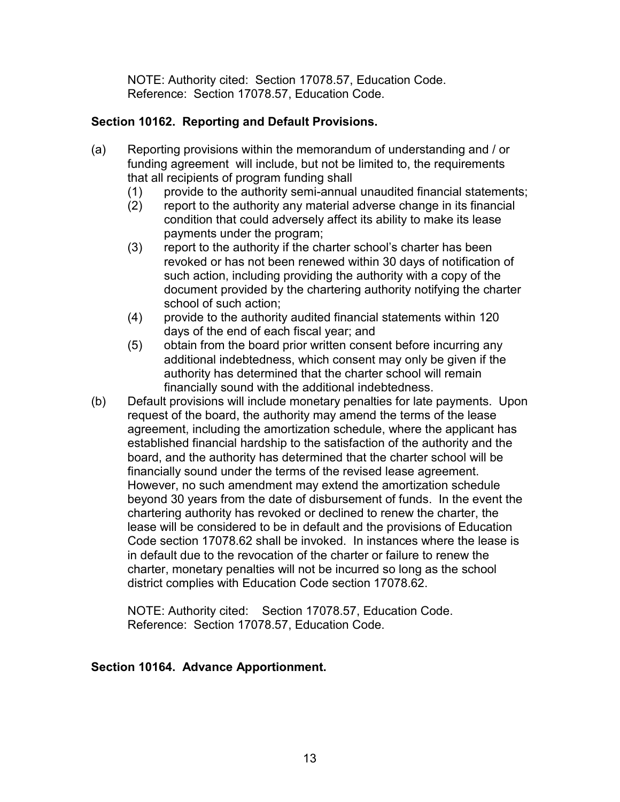NOTE: Authority cited: Section 17078.57, Education Code. Reference: Section 17078.57, Education Code.

### **Section 10162. Reporting and Default Provisions.**

- (a) Reporting provisions within the memorandum of understanding and / or funding agreement will include, but not be limited to, the requirements that all recipients of program funding shall
	- (1) provide to the authority semi-annual unaudited financial statements;
	- (2) report to the authority any material adverse change in its financial condition that could adversely affect its ability to make its lease payments under the program;
	- (3) report to the authority if the charter school's charter has been revoked or has not been renewed within 30 days of notification of such action, including providing the authority with a copy of the document provided by the chartering authority notifying the charter school of such action;
	- (4) provide to the authority audited financial statements within 120 days of the end of each fiscal year; and
	- (5) obtain from the board prior written consent before incurring any additional indebtedness, which consent may only be given if the authority has determined that the charter school will remain financially sound with the additional indebtedness.
- (b) Default provisions will include monetary penalties for late payments. Upon request of the board, the authority may amend the terms of the lease agreement, including the amortization schedule, where the applicant has established financial hardship to the satisfaction of the authority and the board, and the authority has determined that the charter school will be financially sound under the terms of the revised lease agreement. However, no such amendment may extend the amortization schedule beyond 30 years from the date of disbursement of funds. In the event the chartering authority has revoked or declined to renew the charter, the lease will be considered to be in default and the provisions of Education Code section 17078.62 shall be invoked. In instances where the lease is in default due to the revocation of the charter or failure to renew the charter, monetary penalties will not be incurred so long as the school district complies with Education Code section 17078.62.

 NOTE: Authority cited: Section 17078.57, Education Code. Reference: Section 17078.57, Education Code.

### **Section 10164. Advance Apportionment.**